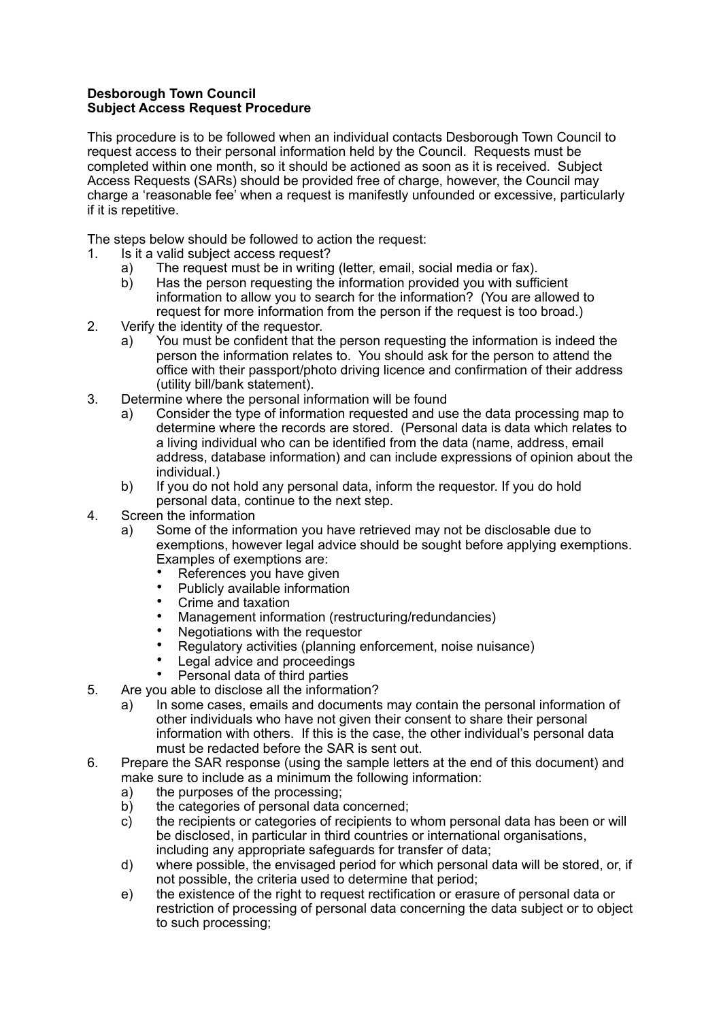# **Desborough Town Council Subject Access Request Procedure**

This procedure is to be followed when an individual contacts Desborough Town Council to request access to their personal information held by the Council. Requests must be completed within one month, so it should be actioned as soon as it is received. Subject Access Requests (SARs) should be provided free of charge, however, the Council may charge a 'reasonable fee' when a request is manifestly unfounded or excessive, particularly if it is repetitive.

The steps below should be followed to action the request:

- 1. Is it a valid subject access request?
	- a) The request must be in writing (letter, email, social media or fax).
	- b) Has the person requesting the information provided you with sufficient information to allow you to search for the information? (You are allowed to request for more information from the person if the request is too broad.)
- 2. Verify the identity of the requestor.
	- a) You must be confident that the person requesting the information is indeed the person the information relates to. You should ask for the person to attend the office with their passport/photo driving licence and confirmation of their address (utility bill/bank statement).
- 3. Determine where the personal information will be found
	- a) Consider the type of information requested and use the data processing map to determine where the records are stored. (Personal data is data which relates to a living individual who can be identified from the data (name, address, email address, database information) and can include expressions of opinion about the individual.)
	- b) If you do not hold any personal data, inform the requestor. If you do hold personal data, continue to the next step.
- 4. Screen the information
	- a) Some of the information you have retrieved may not be disclosable due to exemptions, however legal advice should be sought before applying exemptions. Examples of exemptions are:
		- References you have given
		- Publicly available information
		- Crime and taxation
		- Management information (restructuring/redundancies)
		- Negotiations with the requestor
		- Regulatory activities (planning enforcement, noise nuisance)
		- Legal advice and proceedings
		- Personal data of third parties
- 5. Are you able to disclose all the information?
	- a) In some cases, emails and documents may contain the personal information of other individuals who have not given their consent to share their personal information with others. If this is the case, the other individual's personal data must be redacted before the SAR is sent out.
- 6. Prepare the SAR response (using the sample letters at the end of this document) and make sure to include as a minimum the following information:
	- a) the purposes of the processing;
	- b) the categories of personal data concerned;
	- c) the recipients or categories of recipients to whom personal data has been or will be disclosed, in particular in third countries or international organisations, including any appropriate safeguards for transfer of data;
	- d) where possible, the envisaged period for which personal data will be stored, or, if not possible, the criteria used to determine that period;
	- e) the existence of the right to request rectification or erasure of personal data or restriction of processing of personal data concerning the data subject or to object to such processing;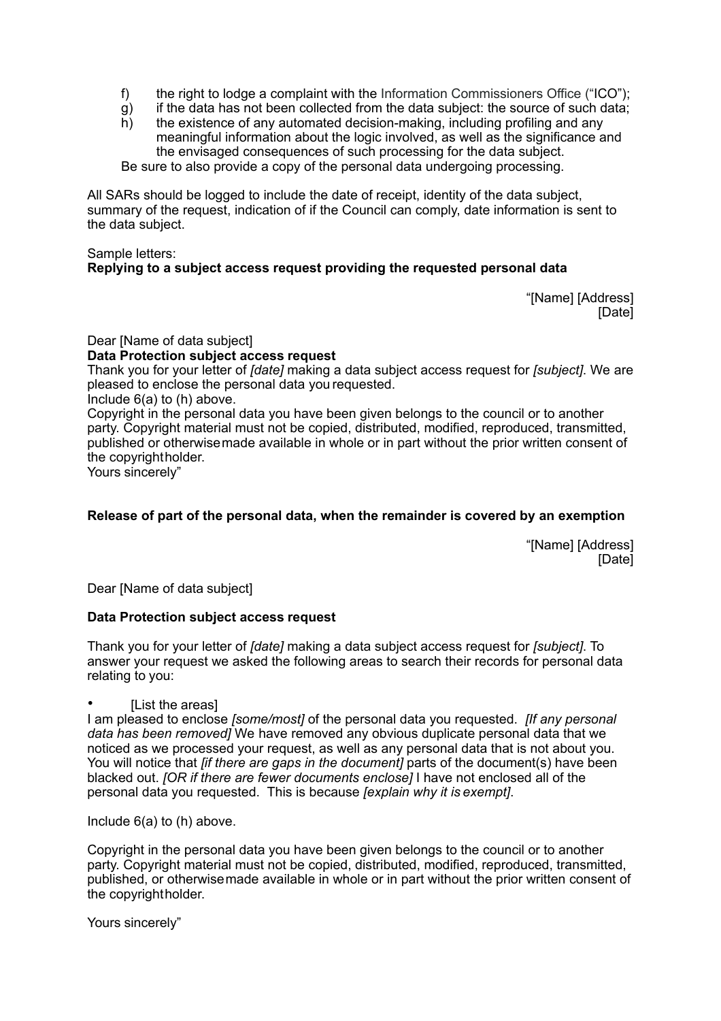- f) the right to lodge a complaint with the Information Commissioners Office ("ICO");
- g) if the data has not been collected from the data subject: the source of such data;
- h) the existence of any automated decision-making, including profiling and any meaningful information about the logic involved, as well as the significance and the envisaged consequences of such processing for the data subject.

Be sure to also provide a copy of the personal data undergoing processing.

All SARs should be logged to include the date of receipt, identity of the data subject, summary of the request, indication of if the Council can comply, date information is sent to the data subject.

#### Sample letters: **Replying to a subject access request providing the requested personal data**

 "[Name] [Address] [Date]

Dear [Name of data subject] **Data Protection subject access request**  Thank you for your letter of *[date]* making a data subject access request for *[subject]*. We are pleased to enclose the personal data you requested. Include 6(a) to (h) above. Copyright in the personal data you have been given belongs to the council or to another party. Copyright material must not be copied, distributed, modified, reproduced, transmitted, published or otherwisemade available in whole or in part without the prior written consent of the copyrightholder.

Yours sincerely"

# **Release of part of the personal data, when the remainder is covered by an exemption**

"[Name] [Address] [Date]

Dear [Name of data subject]

# **Data Protection subject access request**

Thank you for your letter of *[date]* making a data subject access request for *[subject]*. To answer your request we asked the following areas to search their records for personal data relating to you:

**IList the areasl** 

I am pleased to enclose *[some/most]* of the personal data you requested. *[If any personal data has been removed]* We have removed any obvious duplicate personal data that we noticed as we processed your request, as well as any personal data that is not about you. You will notice that *[if there are gaps in the document]* parts of the document(s) have been blacked out. *[OR if there are fewer documents enclose]* I have not enclosed all of the personal data you requested. This is because *[explain why it is exempt]*.

Include 6(a) to (h) above.

Copyright in the personal data you have been given belongs to the council or to another party. Copyright material must not be copied, distributed, modified, reproduced, transmitted, published, or otherwisemade available in whole or in part without the prior written consent of the copyrightholder.

Yours sincerely"